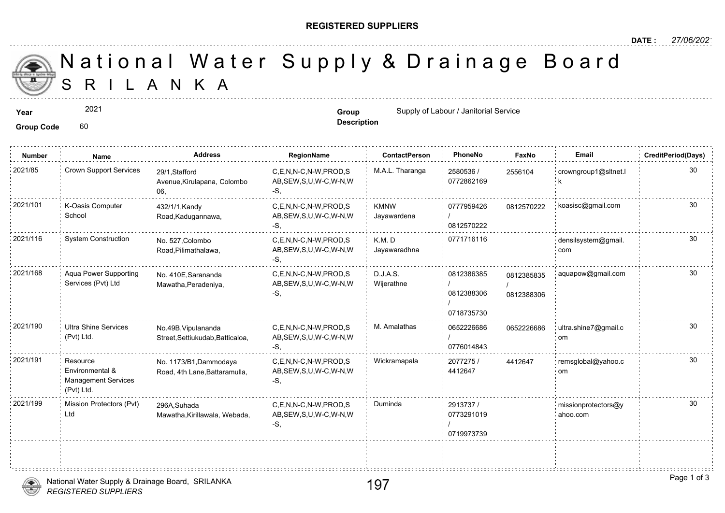## **REGISTERED SUPPLIERS**

**Description**

A N K A National Water Supply & Drainage

**Year Supply of Labour / Janitorial Service Group Group Group Group** Supply of Labour / Janitorial Service

Group Code 60

2021

**Number Name Address RegionName ContactPerson PhoneNo FaxNo Email CreditPeriod(Days)** 2580536 / 0772862169 2021/85 Crown Support Services 29/1,Stafford C,E,N,N-C,N-W,PROD,S M.A.L. Tharanga 2580536 / 255610 AB,SEW,S,U,W-C,W-N,W -S, 29/1,Stafford Avenue,Kirulapana, Colombo 06, 255610 0777959426 08125 / 0812570222 KMNW Jayawardena 2021/101 K-Oasis Computer 432/1/1,Kandy C,E,N,N-C,N-W,PROD,S KMNW 0777959426 081257 AB,SEW,S,U,W-C,W-N,W -S, 432/1/1,Kandy Road,Kadugannawa, K-Oasis Computer School K.M. D 0771716116 Jayawaradhna 2021/116 System Construction <sub>No. 527.Colombo C,E,N,N-C,N-W,PROD,S K.M. D 0771716116 </sub> AB,SEW,S,U,W-C,W-N,W -S, No. 527,Colombo Road,Pilimathalawa, 0812386385 08123 / 0812388306 / 0718735730 D.J.A.S. Wijerathne C,E,N,N-C,N-W,PROD,S AB,SEW,S,U,W-C,W-N,W -S, No. 410E,Sarananda Mawatha,Peradeniya, Aqua Power Supporting Services (Pvt) Ltd 2021/168 Aqua Power Supporting No. 410E,Sarananda C,E,N,N-C,N-W,PROD,S D.J.A.S. 6812386385 0812386385 / 081238 0652226686 / 0776014843 2021/190 Ultra Shine Services No.49B, Vipulananda C,E,N,N-C,N-W,PROD,S M. Amalathas 0652226686 065222 AB,SEW,S,U,W-C,W-N,W -S, No.49B,Vipulananda Street,Settiukudab,Batticaloa, Ultra Shine Services (Pvt) Ltd. 065222 2077275 / 30 4412647 2021/191 Resource No. 1173/B1,Dammodaya C,E,N,N-C,N-W,PROD,S Wickramapala 2077275 / 44126 AB,SEW,S,U,W-C,W-N,W -S, No. 1173/B1,Dammodaya Road, 4th Lane,Battaramulla, Resource Environmental & Management Services (Pvt) Ltd. 4412647 2913737 / 30 0773291019 / 0719973739 C,E,N,N-C,N-W,PROD,S Duminda AB,SEW,S,U,W-C,W-N,W -S, 296A,Suhada Mawatha,Kirillawala, Webada, Mission Protectors (Pvt) 2021/199 missionprotectors@y Ltd

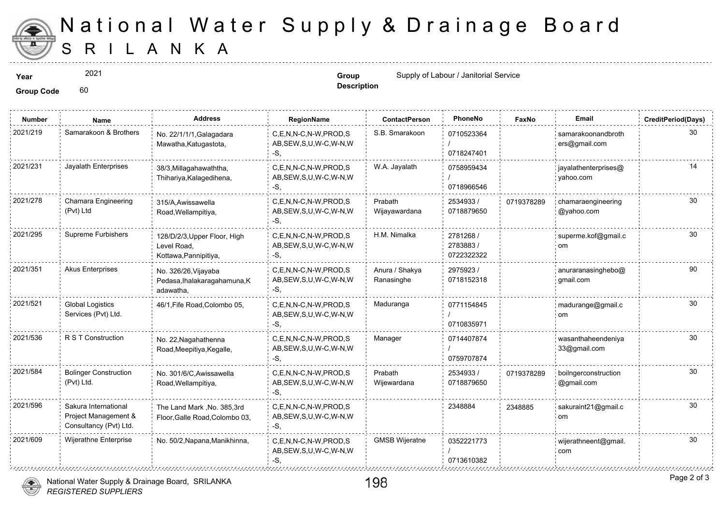

## S R I L A N K A National Water Supply & Drainage

2021

**Description**

**Year Supply of Labour / Janitorial Service Supply of Labour / Janitorial Service Group Group Group Group Group Group Group Group Group Group Group Group Group Group Group Group Group** 

Group Code 60

| <b>Number</b> | Name                                                                   | <b>Address</b>                                                       | RegionName                                                   | <b>ContactPerson</b>         | PhoneNo                             | Faxl   |
|---------------|------------------------------------------------------------------------|----------------------------------------------------------------------|--------------------------------------------------------------|------------------------------|-------------------------------------|--------|
| 2021/219      | Samarakoon & Brothers                                                  | No. 22/1/1/1, Galagadara<br>Mawatha, Katugastota,                    | C,E,N,N-C,N-W,PROD,S<br>AB, SEW, S, U, W-C, W-N, W<br>-S.    | S.B. Smarakoon               | 0710523364<br>0718247401            |        |
| 2021/231      | Jayalath Enterprises                                                   | 38/3, Millagahawaththa,<br>Thihariya, Kalagedihena,                  | C.E.N.N-C.N-W.PROD.S<br>AB, SEW, S, U, W-C, W-N, W<br>-S,    | W.A. Jayalath                | 0758959434<br>0718966546            |        |
| 2021/278      | Chamara Engineering<br>(Pvt) Ltd                                       | 315/A, Awissawella<br>Road, Wellampitiya,                            | C,E,N,N-C,N-W,PROD,S<br>AB, SEW, S, U, W-C, W-N, W<br>-S,    | Prabath<br>Wijayawardana     | 2534933 /<br>0718879650             | 071937 |
| 2021/295      | Supreme Furbishers                                                     | 128/D/2/3, Upper Floor, High<br>Level Road,<br>Kottawa, Pannipitiya, | C.E.N.N-C.N-W.PROD.S<br>AB, SEW, S, U, W-C, W-N, W<br>-S,    | H.M. Nimalka                 | 2781268 /<br>2783883/<br>0722322322 |        |
| 2021/351      | <b>Akus Enterprises</b>                                                | No. 326/26, Vijayaba<br>Pedasa, Ihalakaragahamuna, K<br>adawatha,    | C,E,N,N-C,N-W,PROD,S<br>AB, SEW, S, U, W-C, W-N, W<br>-S.    | Anura / Shakya<br>Ranasinghe | 2975923 /<br>0718152318             |        |
| 2021/521      | <b>Global Logistics</b><br>Services (Pvt) Ltd.                         | 46/1, Fife Road, Colombo 05,                                         | C.E.N.N-C.N-W.PROD.S<br>AB, SEW, S, U, W-C, W-N, W<br>$-S$ . | Maduranga                    | 0771154845<br>0710835971            |        |
| 2021/536      | R S T Construction                                                     | No. 22, Nagahathenna<br>Road, Meepitiya, Kegalle,                    | C,E,N,N-C,N-W,PROD,S<br>AB, SEW, S, U, W-C, W-N, W<br>$-S$ . | Manager                      | 0714407874<br>0759707874            |        |
| 2021/584      | <b>Bolinger Construction</b><br>(Pvt) Ltd.                             | No. 301/6/C, Awissawella<br>Road, Wellampitiya,                      | C.E.N.N-C.N-W.PROD.S<br>AB, SEW, S, U, W-C, W-N, W<br>-S.    | Prabath<br>Wijewardana       | 2534933 /<br>0718879650             | 071937 |
| 2021/596      | Sakura International<br>Project Management &<br>Consultancy (Pvt) Ltd. | The Land Mark, No. 385, 3rd<br>Floor, Galle Road, Colombo 03,        | C,E,N,N-C,N-W,PROD,S<br>AB, SEW, S, U, W-C, W-N, W<br>-S.    |                              | 2348884                             | 234888 |
| 2021/609      | Wijerathne Enterprise                                                  | No. 50/2, Napana, Manikhinna,                                        | C,E,N,N-C,N-W,PROD,S<br>AB, SEW, S, U, W-C, W-N, W           | <b>GMSB Wijeratne</b>        | 0352221773<br>0713610382            |        |